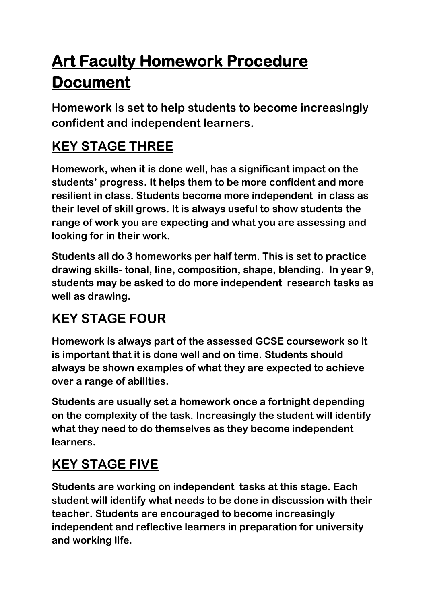# **Art Faculty Homework Procedure Document**

**Homework is set to help students to become increasingly confident and independent learners.** 

## **KEY STAGE THREE**

**Homework, when it is done well, has a significant impact on the students' progress. It helps them to be more confident and more resilient in class. Students become more independent in class as their level of skill grows. It is always useful to show students the range of work you are expecting and what you are assessing and looking for in their work.**

**Students all do 3 homeworks per half term. This is set to practice drawing skills- tonal, line, composition, shape, blending. In year 9, students may be asked to do more independent research tasks as well as drawing.**

### **KEY STAGE FOUR**

**Homework is always part of the assessed GCSE coursework so it is important that it is done well and on time. Students should always be shown examples of what they are expected to achieve over a range of abilities.**

**Students are usually set a homework once a fortnight depending on the complexity of the task. Increasingly the student will identify what they need to do themselves as they become independent learners.**

### **KEY STAGE FIVE**

**Students are working on independent tasks at this stage. Each student will identify what needs to be done in discussion with their teacher. Students are encouraged to become increasingly independent and reflective learners in preparation for university and working life.**